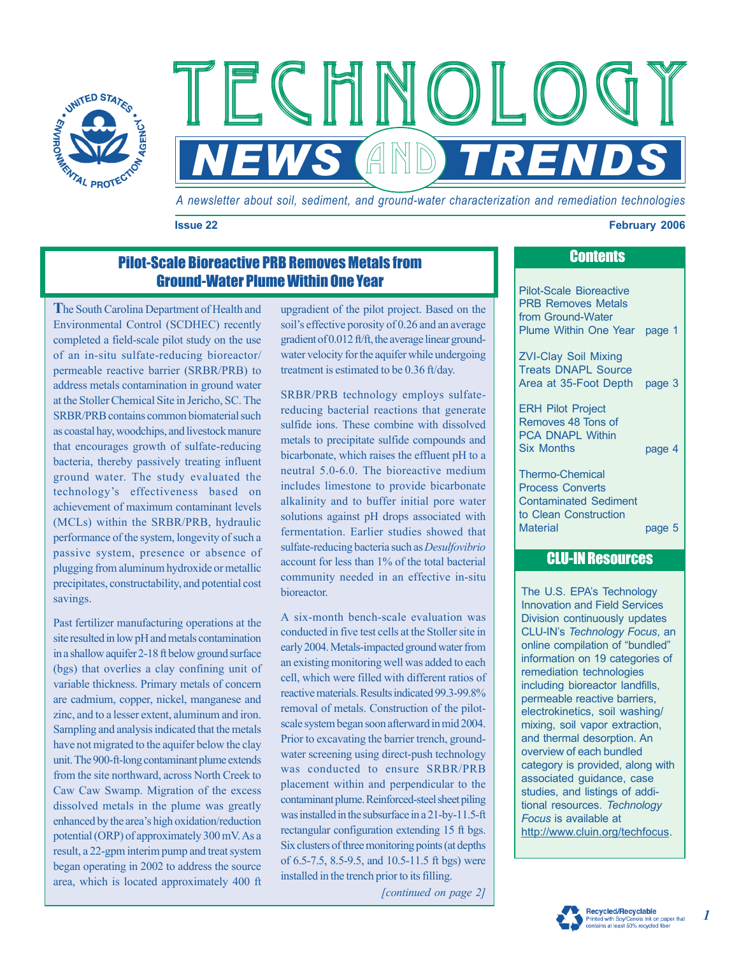

*A newsletter about soil, sediment, and ground-water characterization and remediation technologies* 

**NEWS AND TRENDS** 

#### **Issue 22 February 2006 CONSULTER EXECUTE 2006 February 2006**

# Pilot-Scale Bioreactive PRB Removes Metals from Ground-Water Plume Within One Year

**T**he South Carolina Department of Health and Environmental Control (SCDHEC) recently completed a field-scale pilot study on the use of an in-situ sulfate-reducing bioreactor/ permeable reactive barrier (SRBR/PRB) to address metals contamination in ground water at the Stoller Chemical Site in Jericho, SC. The SRBR/PRB contains common biomaterial such as coastal hay, woodchips, and livestock manure that encourages growth of sulfate-reducing bacteria, thereby passively treating influent ground water. The study evaluated the technology's effectiveness based on achievement of maximum contaminant levels (MCLs) within the SRBR/PRB, hydraulic performance of the system, longevity of such a passive system, presence or absence of plugging from aluminum hydroxide or metallic precipitates, constructability, and potential cost savings.

Past fertilizer manufacturing operations at the site resulted in low pH and metals contamination in a shallow aquifer 2-18 ft below ground surface (bgs) that overlies a clay confining unit of variable thickness. Primary metals of concern are cadmium, copper, nickel, manganese and zinc, and to a lesser extent, aluminum and iron. Sampling and analysis indicated that the metals have not migrated to the aquifer below the clay unit. The 900-ft-long contaminant plume extends from the site northward, across North Creek to Caw Caw Swamp. Migration of the excess dissolved metals in the plume was greatly enhanced by the area's high oxidation/reduction potential (ORP) of approximately 300 mV. As a result, a 22-gpm interim pump and treat system began operating in 2002 to address the source area, which is located approximately 400 ft upgradient of the pilot project. Based on the soil's effective porosity of 0.26 and an average gradient of 0.012 ft/ft, the average linear groundwater velocity for the aquifer while undergoing treatment is estimated to be 0.36 ft/day.

 $FCHMMOI$ 

SRBR/PRB technology employs sulfatereducing bacterial reactions that generate sulfide ions. These combine with dissolved metals to precipitate sulfide compounds and bicarbonate, which raises the effluent pH to a neutral 5.0-6.0. The bioreactive medium includes limestone to provide bicarbonate alkalinity and to buffer initial pore water solutions against pH drops associated with fermentation. Earlier studies showed that sulfate-reducing bacteria such as *Desulfovibrio*  account for less than 1% of the total bacterial community needed in an effective in-situ bioreactor.

A six-month bench-scale evaluation was conducted in five test cells at the Stoller site in early 2004. Metals-impacted ground water from an existing monitoring well was added to each cell, which were filled with different ratios of reactive materials. Results indicated 99.3-99.8% removal of metals. Construction of the pilotscale system began soon afterward in mid 2004. Prior to excavating the barrier trench, groundwater screening using direct-push technology was conducted to ensure SRBR/PRB placement within and perpendicular to the contaminant plume. Reinforced-steel sheet piling was installed in the subsurface in a 21-by-11.5-ft rectangular configuration extending 15 ft bgs. Six clusters of three monitoring points (at depths of 6.5-7.5, 8.5-9.5, and 10.5-11.5 ft bgs) were installed in the trench prior to its filling.

*[continued on page 2]* 

## **Contents**

Pilot-Scale Bioreactive PRB Removes Metals from Ground-Water Plume Within One Year page 1

ZVI-Clay Soil Mixing Treats DNAPL Source Area at 35-Foot Depth page 3

ERH Pilot Project Removes 48 Tons of PCA DNAPL Within Six Months page 4

Thermo-Chemical Process Converts Contaminated Sediment to Clean Construction Material page 5

# CLU-IN Resources

The U.S. EPA's Technology Innovation and Field Services Division continuously updates CLU-IN's *Technology Focus*, an online compilation of "bundled" information on 19 categories of remediation technologies including bioreactor landfills, permeable reactive barriers, electrokinetics, soil washing/ mixing, soil vapor extraction, and thermal desorption. An overview of each bundled category is provided, along with associated guidance, case studies, and listings of additional resources. *Technology Focus* is available at [http://www.cluin.org/techfocus.](http://www.cluin.org/techfocus)



*1*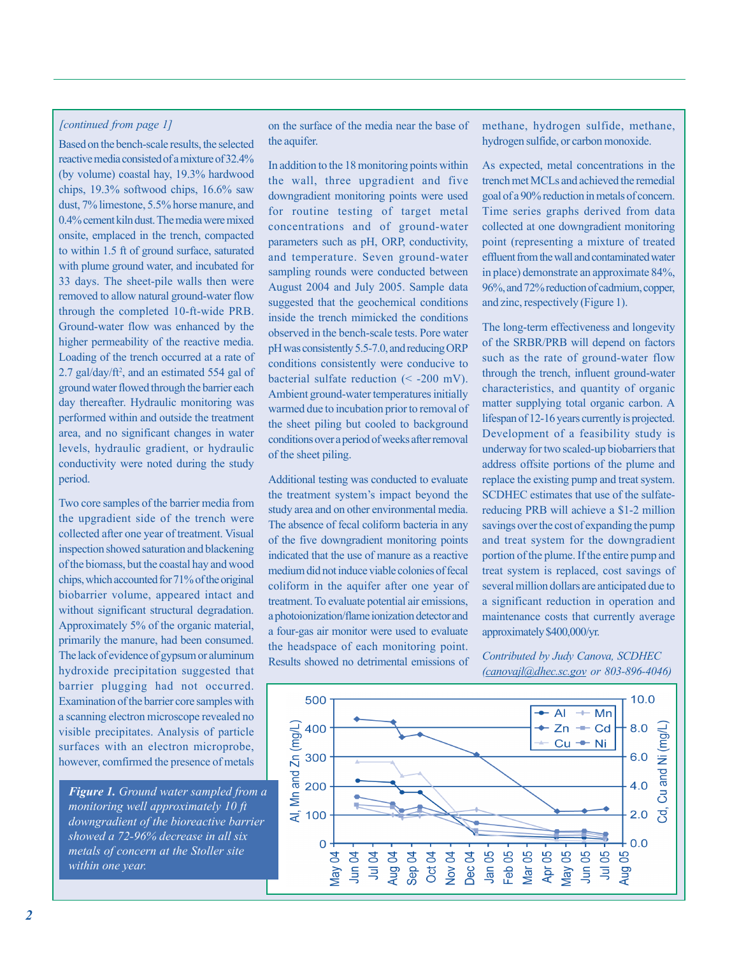#### *[continued from page 1]*

Based on the bench-scale results, the selected reactive media consisted of a mixture of 32.4% chips, 19.3% softwood chips, 16.6% saw dust, 7% limestone, 5.5% horse manure, and 0.4% cement kiln dust. The media were mixed onsite, emplaced in the trench, compacted 33 days. The sheet-pile walls then were removed to allow natural ground-water flow Ground-water flow was enhanced by the higher permeability of the reactive media. Loading of the trench occurred at a rate of  $2.7$  gal/day/ft<sup>2</sup>, and an estimated 554 gal of ground water flowed through the barrier each performed within and outside the treatment area, and no significant changes in water levels, hydraulic gradient, or hydraulic conductivity were noted during the study period. (by volume) coastal hay, 19.3% hardwood to within 1.5 ft of ground surface, saturated with plume ground water, and incubated for through the completed 10-ft-wide PRB. day thereafter. Hydraulic monitoring was

the upgradient side of the trench were inspection showed saturation and blackening of the biomass, but the coastal hay and wood chips, which accounted for 71% of the original biobarrier volume, appeared intact and without significant structural degradation. Approximately 5% of the organic material, primarily the manure, had been consumed. The lack of evidence of gypsum or aluminum hydroxide precipitation suggested that barrier plugging had not occurred. Examination of the barrier core samples with a scanning electron microscope revealed no surfaces with an electron microprobe, Two core samples of the barrier media from collected after one year of treatment. Visual visible precipitates. Analysis of particle however, comfirmed the presence of metals

*Figure 1. Ground water sampled from a metals of concern at the Stoller site monitoring well approximately 10 ft downgradient of the bioreactive barrier showed a 72-96% decrease in all six within one year.* 

on the surface of the media near the base of the aquifer.

In addition to the 18 monitoring points within the wall, three upgradient and five downgradient monitoring points were used for routine testing of target metal concentrations and of ground-water and temperature. Seven ground-water sampling rounds were conducted between August 2004 and July 2005. Sample data suggested that the geochemical conditions inside the trench mimicked the conditions observed in the bench-scale tests. Pore water pH was consistently 5.5-7.0, and reducing ORP conditions consistently were conducive to bacterial sulfate reduction  $(< -200$  mV). Ambient ground-water temperatures initially warmed due to incubation prior to removal of the sheet piling but cooled to background conditions over a period of weeks after removal of the sheet piling. parameters such as pH, ORP, conductivity,

Additional testing was conducted to evaluate study area and on other environmental media. The absence of fecal coliform bacteria in any of the five downgradient monitoring points indicated that the use of manure as a reactive medium did not induce viable colonies of fecal coliform in the aquifer after one year of a photoionization/flame ionization detector and a four-gas air monitor were used to evaluate the headspace of each monitoring point. Results showed no detrimental emissions of the treatment system's impact beyond the treatment. To evaluate potential air emissions,

methane, hydrogen sulfide, methane, hydrogen sulfide, or carbon monoxide.

As expected, metal concentrations in the trench met MCLs and achieved the remedial goal of a 90% reduction in metals of concern. Time series graphs derived from data collected at one downgradient monitoring point (representing a mixture of treated effluent from the wall and contaminated water in place) demonstrate an approximate 84%, and zinc, respectively (Figure 1). 96%, and 72% reduction of cadmium, copper,

The long-term effectiveness and longevity of the SRBR/PRB will depend on factors such as the rate of ground-water flow through the trench, influent ground-water characteristics, and quantity of organic lifespan of 12-16 years currently is projected. Development of a feasibility study is underway for two scaled-up biobarriers that address offsite portions of the plume and replace the existing pump and treat system. SCDHEC estimates that use of the sulfatereducing PRB will achieve a \$1-2 million savings over the cost of expanding the pump and treat system for the downgradient portion of the plume. If the entire pump and treat system is replaced, cost savings of several million dollars are anticipated due to a significant reduction in operation and maintenance costs that currently average matter supplying total organic carbon. A approximately \$400,000/yr.

*Contributed by Judy Canova, SCDHEC ( canovajl@dhec.sc.gov or 803-896-4046)* 

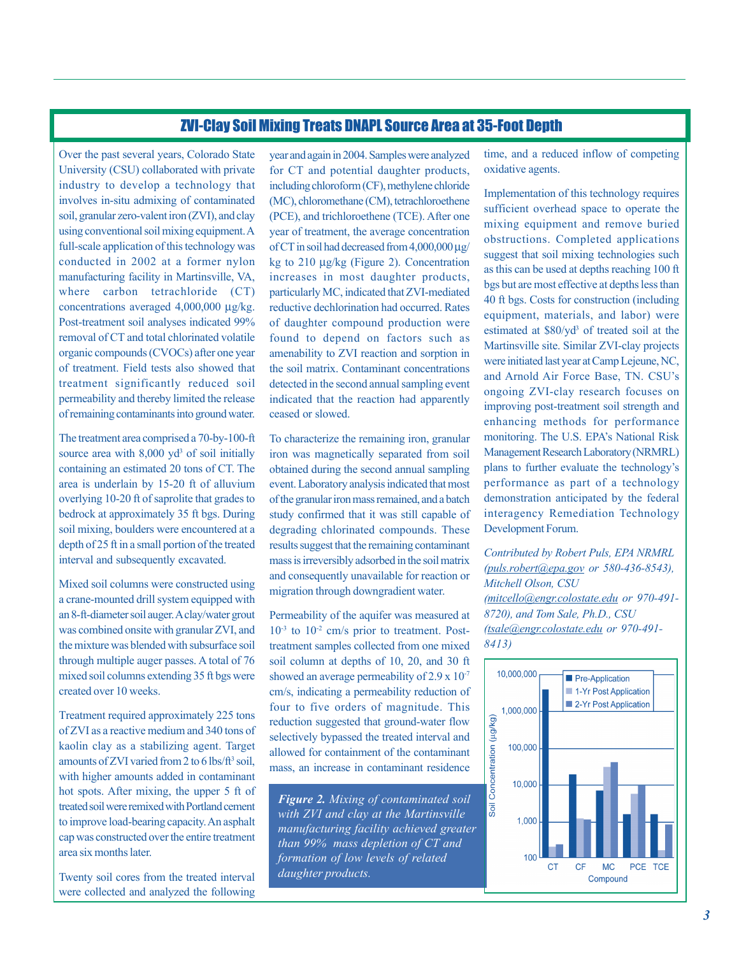#### ZVI-Clay Soil Mixing Treats DNAPL Source Area at 35-Foot Depth

Over the past several years, Colorado State University (CSU) collaborated with private industry to develop a technology that involves in-situ admixing of contaminated soil, granular zero-valent iron (ZVI), and clay full-scale application of this technology was conducted in 2002 at a former nylon where carbon tetrachloride (CT) concentrations averaged 4,000,000 µg/kg. Post-treatment soil analyses indicated 99% removal of CT and total chlorinated volatile organic compounds (CVOCs) after one year of treatment. Field tests also showed that treatment significantly reduced soil permeability and thereby limited the release using conventional soil mixing equipment. A manufacturing facility in Martinsville, VA, of remaining contaminants into ground water.

The treatment area comprised a 70-by-100-ft source area with  $8,000$  yd<sup>3</sup> of soil initially area is underlain by 15-20 ft of alluvium overlying 10-20 ft of saprolite that grades to bedrock at approximately 35 ft bgs. During soil mixing, boulders were encountered at a depth of 25 ft in a small portion of the treated interval and subsequently excavated. containing an estimated 20 tons of CT. The

Mixed soil columns were constructed using a crane-mounted drill system equipped with was combined onsite with granular ZVI, and the mixture was blended with subsurface soil mixed soil columns extending 35 ft bgs were created over 10 weeks. an 8-ft-diameter soil auger. A clay/water grout through multiple auger passes. A total of 76

Treatment required approximately 225 tons of ZVI as a reactive medium and 340 tons of amounts of ZVI varied from 2 to 6 lbs/ $ft^3$  soil, with higher amounts added in contaminant treated soil were remixed with Portland cement cap was constructed over the entire treatment kaolin clay as a stabilizing agent. Target hot spots. After mixing, the upper 5 ft of to improve load-bearing capacity. An asphalt area six months later.

were collected and analyzed the following Twenty soil cores from the treated interval

year and again in 2004. Samples were analyzed for CT and potential daughter products, including chloroform (CF), methylene chloride (MC), chloromethane (CM), tetrachloroethene year of treatment, the average concentration of CT in soil had decreased from  $4,000,000 \mu$ g/ kg to 210 µg/kg (Figure 2). Concentration increases in most daughter products, particularly MC, indicated that ZVI-mediated reductive dechlorination had occurred. Rates of daughter compound production were found to depend on factors such as amenability to ZVI reaction and sorption in the soil matrix. Contaminant concentrations detected in the second annual sampling event indicated that the reaction had apparently ceased or slowed. (PCE), and trichloroethene (TCE). After one

iron was magnetically separated from soil obtained during the second annual sampling event. Laboratory analysis indicated that most of the granular iron mass remained, and a batch study confirmed that it was still capable of degrading chlorinated compounds. These results suggest that the remaining contaminant mass is irreversibly adsorbed in the soil matrix and consequently unavailable for reaction or To characterize the remaining iron, granular migration through downgradient water.

Permeability of the aquifer was measured at  $10^{-3}$  to  $10^{-2}$  cm/s prior to treatment. Posttreatment samples collected from one mixed soil column at depths of 10, 20, and 30 ft showed an average permeability of 2.9 x 10<sup>-7</sup> cm/s, indicating a permeability reduction of four to five orders of magnitude. This reduction suggested that ground-water flow selectively bypassed the treated interval and allowed for containment of the contaminant mass, an increase in contaminant residence

*Figure 2. Mixing of contaminated soil with ZVI and clay at the Martinsville than 99% mass depletion of CT and manufacturing facility achieved greater formation of low levels of related daughter products.* 

time, and a reduced inflow of competing oxidative agents.

Implementation of this technology requires sufficient overhead space to operate the mixing equipment and remove buried obstructions. Completed applications suggest that soil mixing technologies such as this can be used at depths reaching 100 ft bgs but are most effective at depths less than 40 ft bgs. Costs for construction (including equipment, materials, and labor) were estimated at \$80/yd<sup>3</sup> of treated soil at the Martinsville site. Similar ZVI-clay projects were initiated last year at Camp Lejeune, NC, ongoing ZVI-clay research focuses on improving post-treatment soil strength and enhancing methods for performance Management Research Laboratory (NRMRL) performance as part of a technology demonstration anticipated by the federal Development Forum. and Arnold Air Force Base, TN. CSU's monitoring. The U.S. EPA's National Risk plans to further evaluate the technology's interagency Remediation Technology

*( puls.robert@epa.gov or 580-436-8543), Mitchell Olson, CSU (mitcello@engr.colostate.edu or 970-491- (tsale@engr.colostate.edu or 970-491- 8413) Contributed by Robert Puls, EPA NRMRL 8720), and Tom Sale, Ph.D., CSU* 

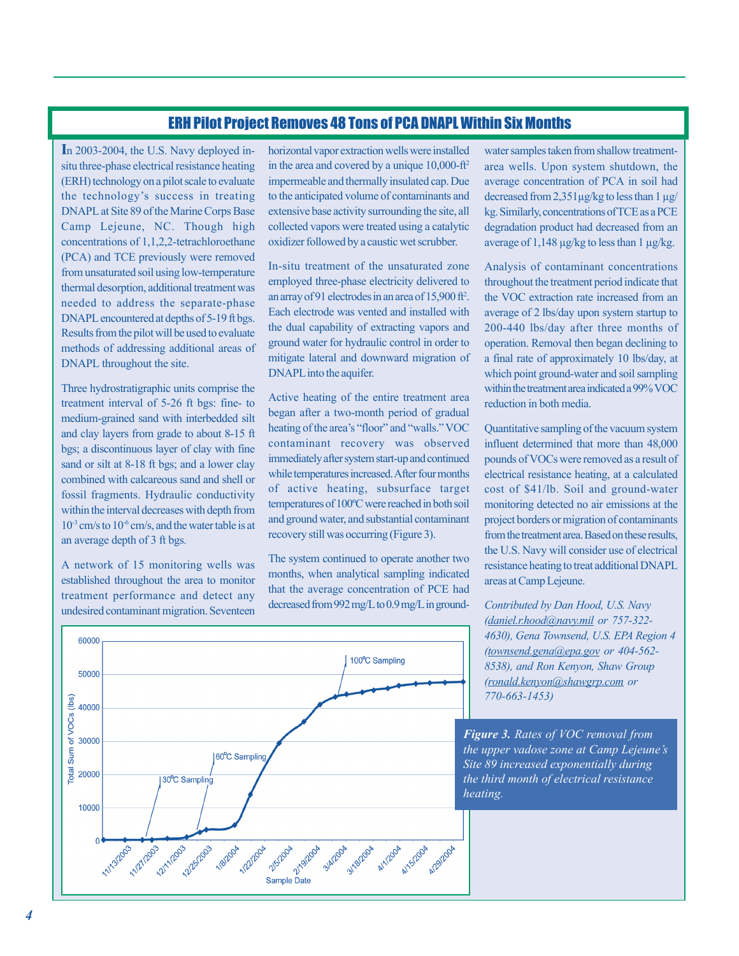#### ERH Pilot Project Removes 48 Tons of PCA DNAPL Within Six Months

**I**n 2003-2004, the U.S. Navy deployed insitu three-phase electrical resistance heating (ERH) technology on a pilot scale to evaluate DNAPL at Site 89 of the Marine Corps Base Camp Lejeune, NC. Though high concentrations of 1,1,2,2-tetrachloroethane (PCA) and TCE previously were removed from unsaturated soil using low-temperature thermal desorption, additional treatment was needed to address the separate-phase DNAPL encountered at depths of 5-19 ft bgs. Results from the pilot will be used to evaluate methods of addressing additional areas of DNAPL throughout the site. the technology's success in treating

Three hydrostratigraphic units comprise the treatment interval of 5-26 ft bgs: fine- to medium-grained sand with interbedded silt and clay layers from grade to about 8-15 ft combined with calcareous sand and shell or fossil fragments. Hydraulic conductivity within the interval decreases with depth from  $10^{-3}$  cm/s to  $10^{-6}$  cm/s, and the water table is at an average depth of 3 ft bgs. bgs; a discontinuous layer of clay with fine sand or silt at 8-18 ft bgs; and a lower clay

A network of 15 monitoring wells was established throughout the area to monitor treatment performance and detect any undesired contaminant migration. Seventeen horizontal vapor extraction wells were installed in the area and covered by a unique 10,000-ft2 impermeable and thermally insulated cap. Due to the anticipated volume of contaminants and extensive base activity surrounding the site, all collected vapors were treated using a catalytic oxidizer followed by a caustic wet scrubber.

employed three-phase electricity delivered to an array of 91 electrodes in an area of 15,900 ft2 . Each electrode was vented and installed with the dual capability of extracting vapors and ground water for hydraulic control in order to mitigate lateral and downward migration of In-situ treatment of the unsaturated zone DNAPL into the aquifer.

Active heating of the entire treatment area began after a two-month period of gradual contaminant recovery was observed immediately after system start-up and continued of active heating, subsurface target temperatures of 100ºC were reached in both soil recovery still was occurring (Figure 3). heating of the area's "floor" and "walls." VOC while temperatures increased. After four months and ground water, and substantial contaminant

The system continued to operate another two months, when analytical sampling indicated that the average concentration of PCE had decreased from 992 mg/L to 0.9 mg/L in ground-

water samples taken from shallow treatmentarea wells. Upon system shutdown, the average concentration of PCA in soil had decreased from  $2,351\,\mu$ g/kg to less than  $1\,\mu$ g/ degradation product had decreased from an average of 1,148  $\mu$ g/kg to less than 1  $\mu$ g/kg. kg. Similarly, concentrations of TCE as a PCE

Analysis of contaminant concentrations throughout the treatment period indicate that the VOC extraction rate increased from an average of 2 lbs/day upon system startup to 200-440 lbs/day after three months of operation. Removal then began declining to which point ground-water and soil sampling within the treatment area indicated a 99% VOC reduction in both media. a final rate of approximately 10 lbs/day, at

Quantitative sampling of the vacuum system influent determined that more than 48,000 pounds of VOCs were removed as a result of electrical resistance heating, at a calculated cost of \$41/lb. Soil and ground-water monitoring detected no air emissions at the project borders or migration of contaminants from the treatment area. Based on these results, the U.S. Navy will consider use of electrical resistance heating to treat additional DNAPL areas at Camp Lejeune.

*Contributed by Dan Hood, U.S. Navy (daniel.r.hood@navy.mil or 757-322- (townsend.gena@epa.gov or 404-562- 8538), and Ron Kenyon, Shaw Group ( ronald.kenyon@shawgrp.com or 770-663-1453) 4630), Gena Townsend, U.S. EPA Region 4* 

*Figure 3. Rates of VOC removal from heating. the upper vadose zone at Camp Lejeune's Site 89 increased exponentially during the third month of electrical resistance* 

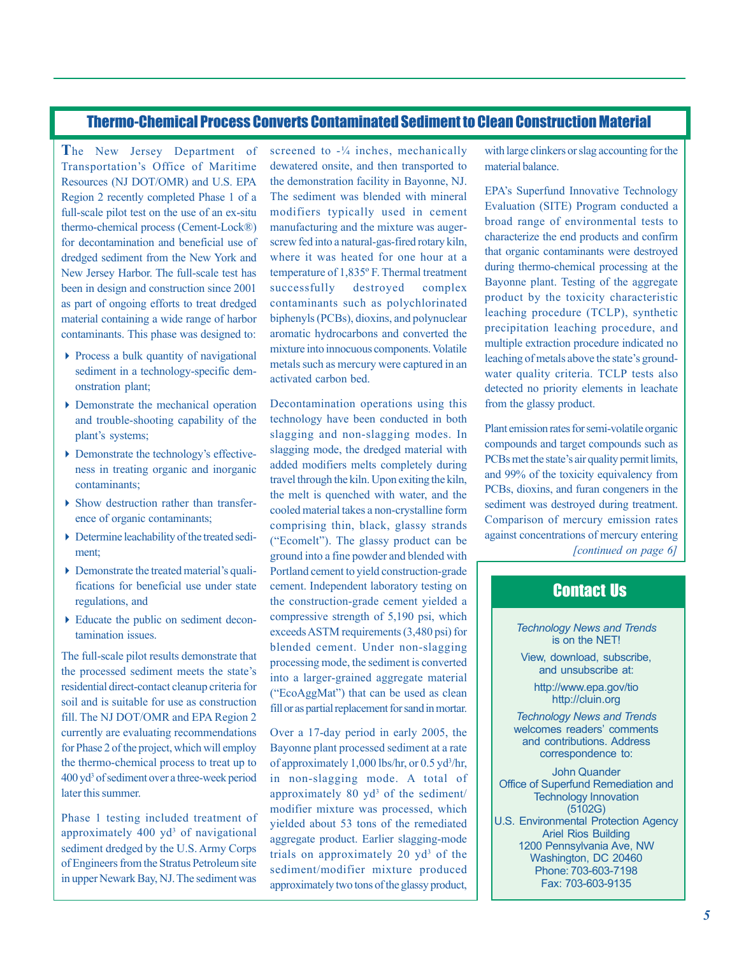# Thermo-Chemical Process Converts Contaminated Sediment to Clean Construction Material

**T**he New Jersey Department of Transportation's Office of Maritime Resources (NJ DOT/OMR) and U.S. EPA Region 2 recently completed Phase 1 of a full-scale pilot test on the use of an ex-situ thermo-chemical process (Cement-Lock®) for decontamination and beneficial use of dredged sediment from the New York and New Jersey Harbor. The full-scale test has been in design and construction since 2001 as part of ongoing efforts to treat dredged material containing a wide range of harbor contaminants. This phase was designed to:

- Process a bulk quantity of navigational sediment in a technology-specific demonstration plant;
- Demonstrate the mechanical operation and trouble-shooting capability of the plant's systems;
- Demonstrate the technology's effectiveness in treating organic and inorganic contaminants;
- Show destruction rather than transference of organic contaminants;
- Determine leachability of the treated sediment;
- Demonstrate the treated material's qualifications for beneficial use under state regulations, and
- Educate the public on sediment decontamination issues.

The full-scale pilot results demonstrate that the processed sediment meets the state's residential direct-contact cleanup criteria for soil and is suitable for use as construction fill. The NJ DOT/OMR and EPA Region 2 currently are evaluating recommendations for Phase 2 of the project, which will employ the thermo-chemical process to treat up to 400 yd3 of sediment over a three-week period later this summer.

Phase 1 testing included treatment of approximately  $400 \text{ yd}^3$  of navigational sediment dredged by the U.S. Army Corps of Engineers from the Stratus Petroleum site in upper Newark Bay, NJ. The sediment was

screened to  $-\frac{1}{4}$  inches, mechanically dewatered onsite, and then transported to the demonstration facility in Bayonne, NJ. The sediment was blended with mineral modifiers typically used in cement manufacturing and the mixture was augerscrew fed into a natural-gas-fired rotary kiln, where it was heated for one hour at a temperature of 1,835º F. Thermal treatment successfully destroyed complex contaminants such as polychlorinated biphenyls (PCBs), dioxins, and polynuclear aromatic hydrocarbons and converted the mixture into innocuous components. Volatile metals such as mercury were captured in an activated carbon bed.

Decontamination operations using this technology have been conducted in both slagging and non-slagging modes. In slagging mode, the dredged material with added modifiers melts completely during travel through the kiln. Upon exiting the kiln, the melt is quenched with water, and the cooled material takes a non-crystalline form comprising thin, black, glassy strands ("Ecomelt"). The glassy product can be ground into a fine powder and blended with Portland cement to yield construction-grade cement. Independent laboratory testing on the construction-grade cement yielded a compressive strength of 5,190 psi, which exceeds ASTM requirements (3,480 psi) for blended cement. Under non-slagging processing mode, the sediment is converted into a larger-grained aggregate material ("EcoAggMat") that can be used as clean fill or as partial replacement for sand in mortar.

Over a 17-day period in early 2005, the Bayonne plant processed sediment at a rate of approximately 1,000 lbs/hr, or 0.5 yd3 /hr, in non-slagging mode. A total of approximately  $80 \text{ yd}^3$  of the sediment/ modifier mixture was processed, which yielded about 53 tons of the remediated aggregate product. Earlier slagging-mode trials on approximately 20  $yd^3$  of the sediment/modifier mixture produced approximately two tons of the glassy product,

with large clinkers or slag accounting for the material balance.

EPA's Superfund Innovative Technology Evaluation (SITE) Program conducted a broad range of environmental tests to characterize the end products and confirm that organic contaminants were destroyed during thermo-chemical processing at the Bayonne plant. Testing of the aggregate product by the toxicity characteristic leaching procedure (TCLP), synthetic precipitation leaching procedure, and multiple extraction procedure indicated no leaching of metals above the state's groundwater quality criteria. TCLP tests also detected no priority elements in leachate from the glassy product.

Plant emission rates for semi-volatile organic compounds and target compounds such as PCBs met the state's air quality permit limits, and 99% of the toxicity equivalency from PCBs, dioxins, and furan congeners in the sediment was destroyed during treatment. Comparison of mercury emission rates against concentrations of mercury entering *[continued on page 6]* 

### Contact Us

*Technology News and Trends*  is on the NET!

View, download, subscribe, and unsubscribe at:

> <http://www.epa.gov/tio> <http://cluin.org>

*Technology News and Trends*  welcomes readers' comments and contributions. Address correspondence to:

John Quander Office of Superfund Remediation and Technology Innovation (5102G) U.S. Environmental Protection Agency Ariel Rios Building 1200 Pennsylvania Ave, NW Washington, DC 20460 Phone: 703-603-7198 Fax: 703-603-9135